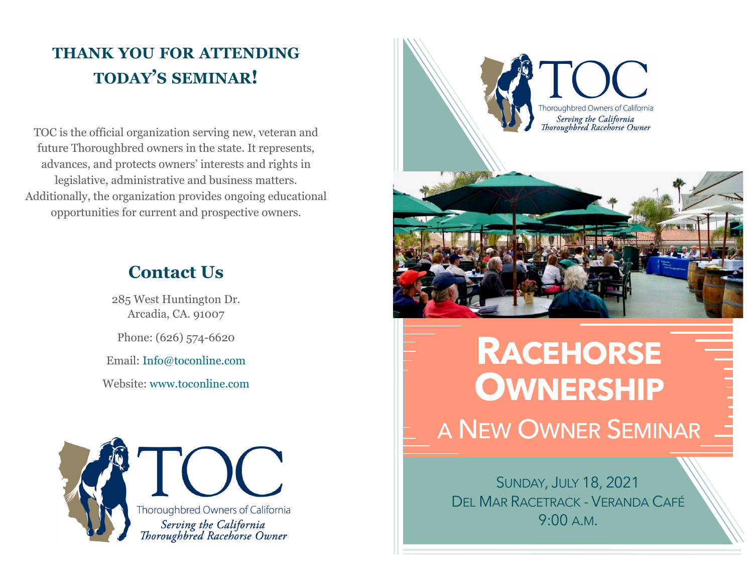### **THANK YOU FOR ATTENDING TODAY'S SEMINAR!**

TOC is the official organization serving new, veteran and future Thoroughbred owners in the state. It represents, advances, and protects owners' interests and rights in legislative, administrative and business matters. Additionally, the organization provides ongoing educational opportunities for current and prospective owners.

### **Contact Us**

285 West Huntington Dr. Arcadia, CA. 91007

Phone: (626) 574-6620

Email: Info@toconline.com

Website: www.toconline.com





# **RACEHORSE OWNERSHIP** A NEW OWNER SEMINAR

SUNDAY, JULY 18, 2021 DEL MAR RACETRACK - VERANDA CAFÉ 9:00 A.M.